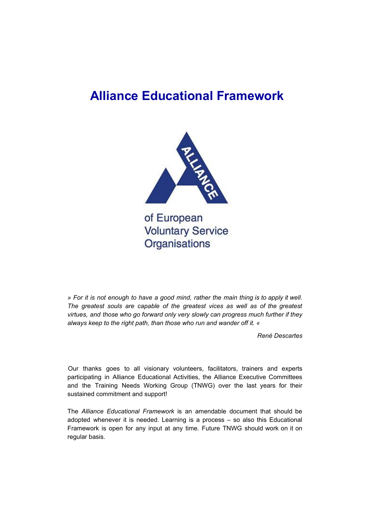## **Alliance Educational Framework**



of European **Voluntary Service** Organisations

» For it is not enough to have a good mind, rather the main thing is to apply it well. *The greatest souls are capable of the greatest vices as well as of the greatest virtues, and those who go forward only very slowly can progress much further if they always keep to the right path, than those who run and wander off it. «*

*René Descartes*

Our thanks goes to all visionary volunteers, facilitators, trainers and experts participating in Alliance Educational Activities, the Alliance Executive Committees and the Training Needs Working Group (TNWG) over the last years for their sustained commitment and support!

The *Alliance Educational Framework* is an amendable document that should be adopted whenever it is needed. Learning is a process – so also this Educational Framework is open for any input at any time. Future TNWG should work on it on regular basis.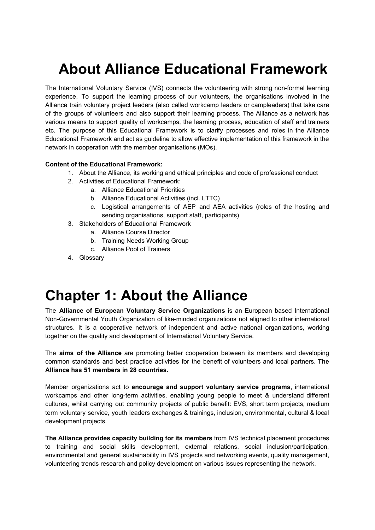## **About Alliance Educational Framework**

The International Voluntary Service (IVS) connects the volunteering with strong non-formal learning experience. To support the learning process of our volunteers, the organisations involved in the Alliance train voluntary project leaders (also called workcamp leaders or campleaders) that take care of the groups of volunteers and also support their learning process. The Alliance as a network has various means to support quality of workcamps, the learning process, education of staff and trainers etc. The purpose of this Educational Framework is to clarify processes and roles in the Alliance Educational Framework and act as guideline to allow effective implementation of this framework in the network in cooperation with the member organisations (MOs).

#### **Content of the Educational Framework:**

- 1. About the Alliance, its working and ethical principles and code of professional conduct
- 2. Activities of Educational Framework:
	- a. Alliance Educational Priorities
	- b. Alliance Educational Activities (incl. LTTC)
	- c. Logistical arrangements of AEP and AEA activities (roles of the hosting and sending organisations, support staff, participants)
- 3. Stakeholders of Educational Framework
	- a. Alliance Course Director
	- b. Training Needs Working Group
	- c. Alliance Pool of Trainers
- 4. Glossary

## **Chapter 1: About the Alliance**

The **Alliance of European Voluntary Service Organizations** is an European based International Non-Governmental Youth Organization of like-minded organizations not aligned to other international structures. It is a cooperative network of independent and active national organizations, working together on the quality and development of International Voluntary Service.

The **aims of the Alliance** are promoting better cooperation between its members and developing common standards and best practice activities for the benefit of volunteers and local partners. **The Alliance has 51 members in 28 countries.**

Member organizations act to **encourage and support voluntary service programs**, international workcamps and other long-term activities, enabling young people to meet & understand different cultures, whilst carrying out community projects of public benefit: EVS, short term projects, medium term voluntary service, youth leaders exchanges & trainings, inclusion, environmental, cultural & local development projects.

**The Alliance provides capacity building for its members** from IVS technical placement procedures to training and social skills development, external relations, social inclusion/participation, environmental and general sustainability in IVS projects and networking events, quality management, volunteering trends research and policy development on various issues representing the network.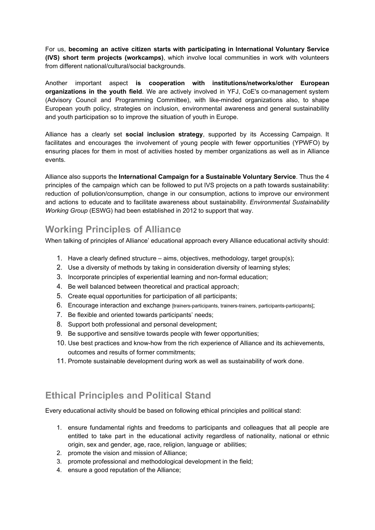For us, **becoming an active citizen starts with participating in International Voluntary Service (IVS) short term projects (workcamps)**, which involve local communities in work with volunteers from different national/cultural/social backgrounds.

Another important aspect **is cooperation with institutions/networks/other European organizations in the youth field**. We are actively involved in YFJ, CoE's co-management system (Advisory Council and Programming Committee), with like-minded organizations also, to shape European youth policy, strategies on inclusion, environmental awareness and general sustainability and youth participation so to improve the situation of youth in Europe.

Alliance has a clearly set **social inclusion strategy**, supported by its Accessing Campaign. It facilitates and encourages the involvement of young people with fewer opportunities (YPWFO) by ensuring places for them in most of activities hosted by member organizations as well as in Alliance events.

Alliance also supports the **International Campaign for a Sustainable Voluntary Service**. Thus the 4 principles of the campaign which can be followed to put IVS projects on a path towards sustainability: reduction of pollution/consumption, change in our consumption, actions to improve our environment and actions to educate and to facilitate awareness about sustainability. *Environmental Sustainability Working Group* (ESWG) had been established in 2012 to support that way.

## **Working Principles of Alliance**

When talking of principles of Alliance' educational approach every Alliance educational activity should:

- 1. Have a clearly defined structure aims, objectives, methodology, target group(s);
- 2. Use a diversity of methods by taking in consideration diversity of learning styles;
- 3. Incorporate principles of experiential learning and non-formal education;
- 4. Be well balanced between theoretical and practical approach;
- 5. Create equal opportunities for participation of all participants;
- 6. Encourage interaction and exchange [trainers-participants, trainers-trainers, participants-participants];
- 7. Be flexible and oriented towards participants' needs;
- 8. Support both professional and personal development;
- 9. Be supportive and sensitive towards people with fewer opportunities;
- 10. Use best practices and know-how from the rich experience of Alliance and its achievements, outcomes and results of former commitments;
- 11. Promote sustainable development during work as well as sustainability of work done.

### **Ethical Principles and Political Stand**

Every educational activity should be based on following ethical principles and political stand:

- 1. ensure fundamental rights and freedoms to participants and colleagues that all people are entitled to take part in the educational activity regardless of nationality, national or ethnic origin, sex and gender, age, race, religion, language or abilities;
- 2. promote the vision and mission of Alliance;
- 3. promote professional and methodological development in the field;
- 4. ensure a good reputation of the Alliance;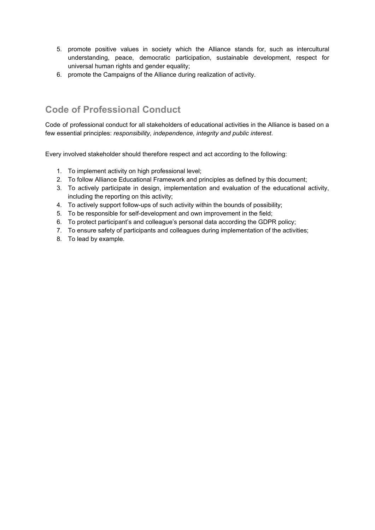- 5. promote positive values in society which the Alliance stands for, such as intercultural understanding, peace, democratic participation, sustainable development, respect for universal human rights and gender equality;
- 6. promote the Campaigns of the Alliance during realization of activity.

## **Code of Professional Conduct**

Code of professional conduct for all stakeholders of educational activities in the Alliance is based on a few essential principles: *responsibility, independence, integrity and public interest*.

Every involved stakeholder should therefore respect and act according to the following:

- 1. To implement activity on high professional level;
- 2. To follow Alliance Educational Framework and principles as defined by this document;
- 3. To actively participate in design, implementation and evaluation of the educational activity, including the reporting on this activity;
- 4. To actively support follow-ups of such activity within the bounds of possibility;
- 5. To be responsible for self-development and own improvement in the field;
- 6. To protect participant's and colleague's personal data according the GDPR policy;
- 7. To ensure safety of participants and colleagues during implementation of the activities;
- 8. To lead by example.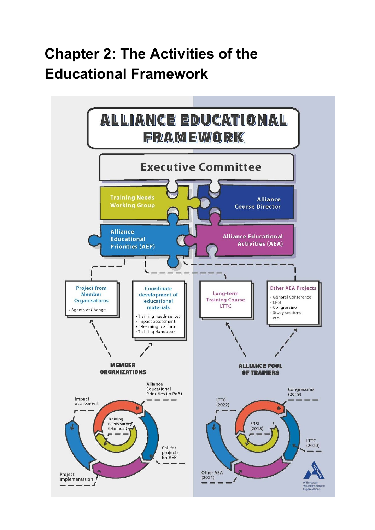# **Chapter 2: The Activities of the Educational Framework**

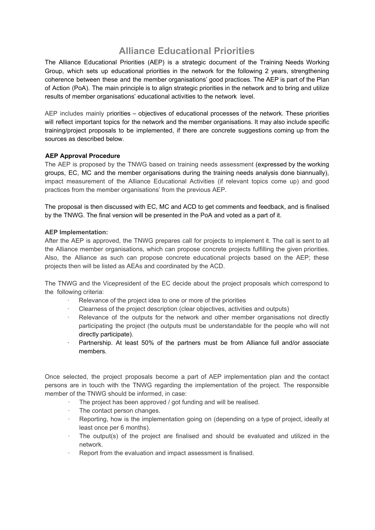## **Alliance Educational Priorities**

The Alliance Educational Priorities (AEP) is a strategic document of the Training Needs Working Group, which sets up educational priorities in the network for the following 2 years, strengthening coherence between these and the member organisations' good practices. The AEP is part of the Plan of Action (PoA). The main principle is to align strategic priorities in the network and to bring and utilize results of member organisations' educational activities to the network level.

AEP includes mainly priorities – objectives of educational processes of the network. These priorities will reflect important topics for the network and the member organisations. It may also include specific training/project proposals to be implemented, if there are concrete suggestions coming up from the sources as described below.

#### **AEP Approval Procedure**

The AEP is proposed by the TNWG based on training needs assessment (expressed by the working groups, EC, MC and the member organisations during the training needs analysis done biannually), impact measurement of the Alliance Educational Activities (if relevant topics come up) and good practices from the member organisations' from the previous AEP.

The proposal is then discussed with EC, MC and ACD to get comments and feedback, and is finalised by the TNWG. The final version will be presented in the PoA and voted as a part of it.

#### **AEP Implementation:**

After the AEP is approved, the TNWG prepares call for projects to implement it. The call is sent to all the Alliance member organisations, which can propose concrete projects fulfilling the given priorities. Also, the Alliance as such can propose concrete educational projects based on the AEP; these projects then will be listed as AEAs and coordinated by the ACD.

The TNWG and the Vicepresident of the EC decide about the project proposals which correspond to the following criteria:

- Relevance of the project idea to one or more of the priorities
- · Clearness of the project description (clear objectives, activities and outputs)
- · Relevance of the outputs for the network and other member organisations not directly participating the project (the outputs must be understandable for the people who will not directly participate).
- Partnership. At least 50% of the partners must be from Alliance full and/or associate members.

Once selected, the project proposals become a part of AEP implementation plan and the contact persons are in touch with the TNWG regarding the implementation of the project. The responsible member of the TNWG should be informed, in case:

- The project has been approved / got funding and will be realised.
- The contact person changes.
- · Reporting, how is the implementation going on (depending on a type of project, ideally at least once per 6 months).
- The output(s) of the project are finalised and should be evaluated and utilized in the network.
- Report from the evaluation and impact assessment is finalised.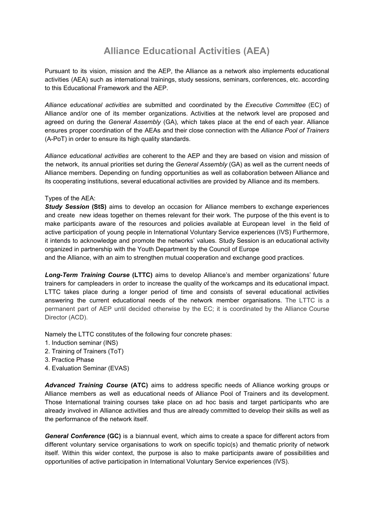## **Alliance Educational Activities (AEA)**

Pursuant to its vision, mission and the AEP, the Alliance as a network also implements educational activities (AEA) such as international trainings, study sessions, seminars, conferences, etc. according to this Educational Framework and the AEP.

*Alliance educational activities* are submitted and coordinated by the *Executive Committee* (EC) of Alliance and/or one of its member organizations. Activities at the network level are proposed and agreed on during the *General Assembly* (GA), which takes place at the end of each year. Alliance ensures proper coordination of the AEAs and their close connection with the *Alliance Pool of Trainers* (A-PoT) in order to ensure its high quality standards.

*Alliance educational activities* are coherent to the AEP and they are based on vision and mission of the network, its annual priorities set during the *General Assembly* (GA) as well as the current needs of Alliance members. Depending on funding opportunities as well as collaboration between Alliance and its cooperating institutions, several educational activities are provided by Alliance and its members.

#### Types of the AEA:

*Study Session* **(StS)** aims to develop an occasion for Alliance members to exchange experiences and create new ideas together on themes relevant for their work. The purpose of the this event is to make participants aware of the resources and policies available at European level in the field of active participation of young people in International Voluntary Service experiences (IVS) Furthermore, it intends to acknowledge and promote the networks' values. Study Session is an educational activity organized in partnership with the Youth Department by the Council of Europe

and the Alliance, with an aim to strengthen mutual cooperation and exchange good practices.

*Long-Term Training Course* **(LTTC)** aims to develop Alliance's and member organizations' future trainers for campleaders in order to increase the quality of the workcamps and its educational impact. LTTC takes place during a longer period of time and consists of several educational activities answering the current educational needs of the network member organisations. The LTTC is a permanent part of AEP until decided otherwise by the EC; it is coordinated by the Alliance Course Director (ACD).

Namely the LTTC constitutes of the following four concrete phases:

- 1. Induction seminar (INS)
- 2. Training of Trainers (ToT)
- 3. Practice Phase
- 4. Evaluation Seminar (EVAS)

*Advanced Training Course* **(ATC)** aims to address specific needs of Alliance working groups or Alliance members as well as educational needs of Alliance Pool of Trainers and its development. Those International training courses take place on ad hoc basis and target participants who are already involved in Alliance activities and thus are already committed to develop their skills as well as the performance of the network itself.

*General Conference* **(GC)** is a biannual event, which aims to create a space for different actors from different voluntary service organisations to work on specific topic(s) and thematic priority of network itself. Within this wider context, the purpose is also to make participants aware of possibilities and opportunities of active participation in International Voluntary Service experiences (IVS).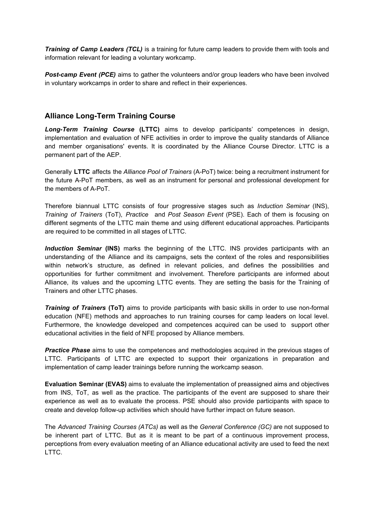*Training of Camp Leaders (TCL)* is a training for future camp leaders to provide them with tools and information relevant for leading a voluntary workcamp.

*Post-camp Event (PCE)* aims to gather the volunteers and/or group leaders who have been involved in voluntary workcamps in order to share and reflect in their experiences.

#### **Alliance Long-Term Training Course**

*Long-Term Training Course* **(LTTC)** aims to develop participants' competences in design, implementation and evaluation of NFE activities in order to improve the quality standards of Alliance and member organisations' events. It is coordinated by the Alliance Course Director. LTTC is a permanent part of the AEP.

Generally **LTTC** affects the *Alliance Pool of Trainers* (A-PoT) twice: being a recruitment instrument for the future A-PoT members, as well as an instrument for personal and professional development for the members of A-PoT.

Therefore biannual LTTC consists of four progressive stages such as *Induction Seminar* (INS), *Training of Trainers* (ToT), *Practice* and *Post Season Event* (PSE). Each of them is focusing on different segments of the LTTC main theme and using different educational approaches. Participants are required to be committed in all stages of LTTC.

*Induction Seminar* **(INS)** marks the beginning of the LTTC. INS provides participants with an understanding of the Alliance and its campaigns, sets the context of the roles and responsibilities within network's structure, as defined in relevant policies, and defines the possibilities and opportunities for further commitment and involvement. Therefore participants are informed about Alliance, its values and the upcoming LTTC events. They are setting the basis for the Training of Trainers and other LTTC phases.

*Training of Trainers* **(ToT)** aims to provide participants with basic skills in order to use non-formal education (NFE) methods and approaches to run training courses for camp leaders on local level. Furthermore, the knowledge developed and competences acquired can be used to support other educational activities in the field of NFE proposed by Alliance members.

*Practice Phase* aims to use the competences and methodologies acquired in the previous stages of LTTC. Participants of LTTC are expected to support their organizations in preparation and implementation of camp leader trainings before running the workcamp season.

**Evaluation Seminar (EVAS)** aims to evaluate the implementation of preassigned aims and objectives from INS, ToT, as well as the practice. The participants of the event are supposed to share their experience as well as to evaluate the process. PSE should also provide participants with space to create and develop follow-up activities which should have further impact on future season.

The *Advanced Training Courses (ATCs)* as well as the *General Conference (GC)* are not supposed to be inherent part of LTTC. But as it is meant to be part of a continuous improvement process, perceptions from every evaluation meeting of an Alliance educational activity are used to feed the next LTTC.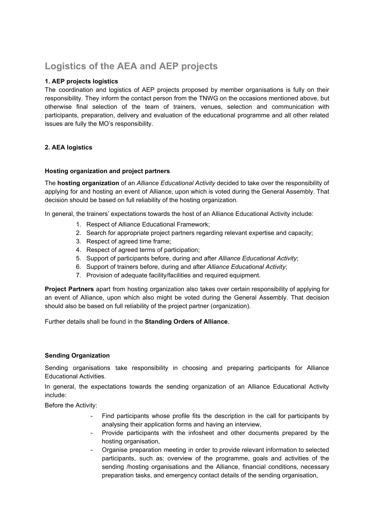## **Logistics of the AEA and AEP projects**

#### **1. AEP projects logistics**

The coordination and logistics of AEP projects proposed by member organisations is fully on their responsibility. They inform the contact person from the TNWG on the occasions mentioned above, but otherwise final selection of the team of trainers, venues, selection and communication with participants, preparation, delivery and evaluation of the educational programme and all other related issues are fully the MO's responsibility.

#### **2. AEA logistics**

#### **Hosting organization and project partners**

The **hosting organization** of an *Alliance Educational Activity* decided to take over the responsibility of applying for and hosting an event of Alliance, upon which is voted during the General Assembly. That decision should be based on full reliability of the hosting organization.

In general, the trainers' expectations towards the host of an Alliance Educational Activity include:

- 1. Respect of Alliance Educational Framework;
- 2. Search for appropriate project partners regarding relevant expertise and capacity;
- 3. Respect of agreed time frame;
- 4. Respect of agreed terms of participation;
- 5. Support of participants before, during and after *Alliance Educational Activity*;
- 6. Support of trainers before, during and after *Alliance Educational Activity*;
- 7. Provision of adequate facility/facilities and required equipment.

**Project Partners** apart from hosting organization also takes over certain responsibility of applying for an event of Alliance, upon which also might be voted during the General Assembly. That decision should also be based on full reliability of the project partner (organization).

Further details shall be found in the **Standing Orders of Alliance**.

#### **Sending Organization**

Sending organisations take responsibility in choosing and preparing participants for Alliance Educational Activities.

In general, the expectations towards the sending organization of an Alliance Educational Activity include:

Before the Activity:

- Find participants whose profile fits the description in the call for participants by analysing their application forms and having an interview,
- Provide participants with the infosheet and other documents prepared by the hosting organisation,
- Organise preparation meeting in order to provide relevant information to selected participants, such as: overview of the programme, goals and activities of the sending /hosting organisations and the Alliance, financial conditions, necessary preparation tasks, and emergency contact details of the sending organisation,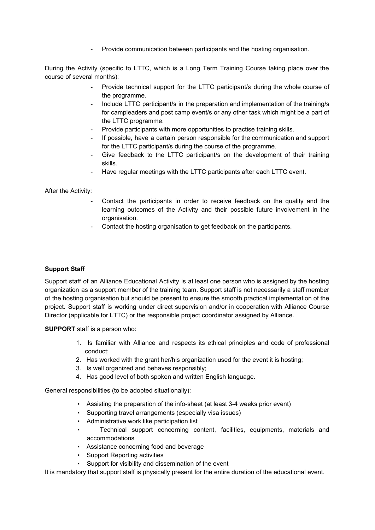- Provide communication between participants and the hosting organisation.

During the Activity (specific to LTTC, which is a Long Term Training Course taking place over the course of several months):

- Provide technical support for the LTTC participant/s during the whole course of the programme.
- Include LTTC participant/s in the preparation and implementation of the training/s for campleaders and post camp event/s or any other task which might be a part of the LTTC programme.
- Provide participants with more opportunities to practise training skills.
- If possible, have a certain person responsible for the communication and support for the LTTC participant/s during the course of the programme.
- Give feedback to the LTTC participant/s on the development of their training skills.
- Have regular meetings with the LTTC participants after each LTTC event.

After the Activity:

- Contact the participants in order to receive feedback on the quality and the learning outcomes of the Activity and their possible future involvement in the organisation.
- Contact the hosting organisation to get feedback on the participants.

#### **Support Staff**

Support staff of an Alliance Educational Activity is at least one person who is assigned by the hosting organization as a support member of the training team. Support staff is not necessarily a staff member of the hosting organisation but should be present to ensure the smooth practical implementation of the project. Support staff is working under direct supervision and/or in cooperation with Alliance Course Director (applicable for LTTC) or the responsible project coordinator assigned by Alliance.

**SUPPORT** staff is a person who:

- 1. Is familiar with Alliance and respects its ethical principles and code of professional conduct;
- 2. Has worked with the grant her/his organization used for the event it is hosting;
- 3. Is well organized and behaves responsibly;
- 4. Has good level of both spoken and written English language.

General responsibilities (to be adopted situationally):

- Assisting the preparation of the info-sheet (at least 3-4 weeks prior event)
- Supporting travel arrangements (especially visa issues)
- Administrative work like participation list
- Technical support concerning content, facilities, equipments, materials and accommodations
- Assistance concerning food and beverage
- Support Reporting activities
- Support for visibility and dissemination of the event

It is mandatory that support staff is physically present for the entire duration of the educational event.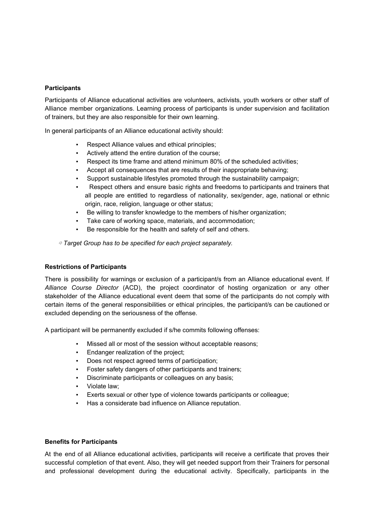#### **Participants**

Participants of Alliance educational activities are volunteers, activists, youth workers or other staff of Alliance member organizations. Learning process of participants is under supervision and facilitation of trainers, but they are also responsible for their own learning.

In general participants of an Alliance educational activity should:

- Respect Alliance values and ethical principles;
- Actively attend the entire duration of the course;
- Respect its time frame and attend minimum 80% of the scheduled activities;
- Accept all consequences that are results of their inappropriate behaving;
- Support sustainable lifestyles promoted through the sustainability campaign;
- Respect others and ensure basic rights and freedoms to participants and trainers that all people are entitled to regardless of nationality, sex/gender, age, national or ethnic origin, race, religion, language or other status;
- Be willing to transfer knowledge to the members of his/her organization;
- Take care of working space, materials, and accommodation;
- Be responsible for the health and safety of self and others.

⇨ *Target Group has to be specified for each project separately.*

#### **Restrictions of Participants**

There is possibility for warnings or exclusion of a participant/s from an Alliance educational event. If *Alliance Course Director* (ACD), the project coordinator of hosting organization or any other stakeholder of the Alliance educational event deem that some of the participants do not comply with certain items of the general responsibilities or ethical principles, the participant/s can be cautioned or excluded depending on the seriousness of the offense.

A participant will be permanently excluded if s/he commits following offenses:

- Missed all or most of the session without acceptable reasons;
- Endanger realization of the project;
- Does not respect agreed terms of participation;
- Foster safety dangers of other participants and trainers;
- Discriminate participants or colleagues on any basis;
- Violate law;
- Exerts sexual or other type of violence towards participants or colleague;
- Has a considerate bad influence on Alliance reputation.

#### **Benefits for Participants**

At the end of all Alliance educational activities, participants will receive a certificate that proves their successful completion of that event. Also, they will get needed support from their Trainers for personal and professional development during the educational activity. Specifically, participants in the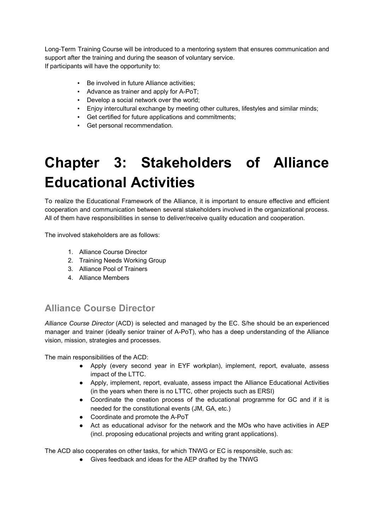Long-Term Training Course will be introduced to a mentoring system that ensures communication and support after the training and during the season of voluntary service. If participants will have the opportunity to:

- Be involved in future Alliance activities;
- Advance as trainer and apply for A-PoT;
- Develop a social network over the world;
- Enjoy intercultural exchange by meeting other cultures, lifestyles and similar minds;
- Get certified for future applications and commitments;
- Get personal recommendation.

# **Chapter 3: Stakeholders of Alliance Educational Activities**

To realize the Educational Framework of the Alliance, it is important to ensure effective and efficient cooperation and communication between several stakeholders involved in the organizational process. All of them have responsibilities in sense to deliver/receive quality education and cooperation.

The involved stakeholders are as follows:

- 1. Alliance Course Director
- 2. Training Needs Working Group
- 3. Alliance Pool of Trainers
- 4. Alliance Members

## **Alliance Course Director**

*Alliance Course Director* (ACD) is selected and managed by the EC. S/he should be an experienced manager and trainer (ideally senior trainer of A-PoT), who has a deep understanding of the Alliance vision, mission, strategies and processes.

The main responsibilities of the ACD:

- Apply (every second year in EYF workplan), implement, report, evaluate, assess impact of the LTTC.
- Apply, implement, report, evaluate, assess impact the Alliance Educational Activities (in the years when there is no LTTC, other projects such as ERSI)
- Coordinate the creation process of the educational programme for GC and if it is needed for the constitutional events (JM, GA, etc.)
- Coordinate and promote the A-PoT
- Act as educational advisor for the network and the MOs who have activities in AEP (incl. proposing educational projects and writing grant applications).

The ACD also cooperates on other tasks, for which TNWG or EC is responsible, such as:

● Gives feedback and ideas for the AEP drafted by the TNWG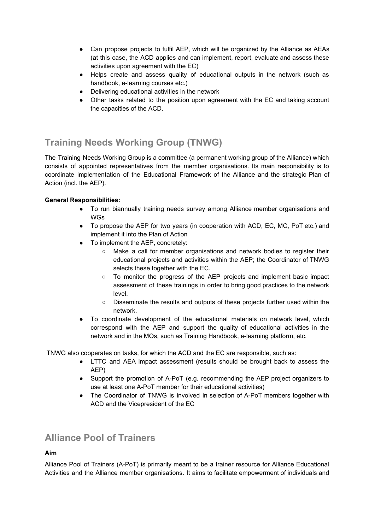- Can propose projects to fulfil AEP, which will be organized by the Alliance as AEAs (at this case, the ACD applies and can implement, report, evaluate and assess these activities upon agreement with the EC)
- Helps create and assess quality of educational outputs in the network (such as handbook, e-learning courses etc.)
- Delivering educational activities in the network
- Other tasks related to the position upon agreement with the EC and taking account the capacities of the ACD.

## **Training Needs Working Group (TNWG)**

The Training Needs Working Group is a committee (a permanent working group of the Alliance) which consists of appointed representatives from the member organisations. Its main responsibility is to coordinate implementation of the Educational Framework of the Alliance and the strategic Plan of Action (incl. the AEP).

#### **General Responsibilities:**

- To run biannually training needs survey among Alliance member organisations and WGs
- To propose the AEP for two years (in cooperation with ACD, EC, MC, PoT etc.) and implement it into the Plan of Action
- To implement the AEP, concretely:
	- Make a call for member organisations and network bodies to register their educational projects and activities within the AEP; the Coordinator of TNWG selects these together with the EC.
	- To monitor the progress of the AEP projects and implement basic impact assessment of these trainings in order to bring good practices to the network level.
	- Disseminate the results and outputs of these projects further used within the network.
- To coordinate development of the educational materials on network level, which correspond with the AEP and support the quality of educational activities in the network and in the MOs, such as Training Handbook, e-learning platform, etc.

TNWG also cooperates on tasks, for which the ACD and the EC are responsible, such as:

- LTTC and AEA impact assessment (results should be brought back to assess the AEP)
- Support the promotion of A-PoT (e.g. recommending the AEP project organizers to use at least one A-PoT member for their educational activities)
- The Coordinator of TNWG is involved in selection of A-PoT members together with ACD and the Vicepresident of the EC

### **Alliance Pool of Trainers**

#### **Aim**

Alliance Pool of Trainers (A-PoT) is primarily meant to be a trainer resource for Alliance Educational Activities and the Alliance member organisations. It aims to facilitate empowerment of individuals and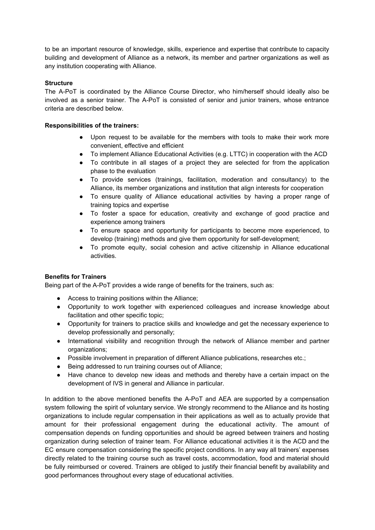to be an important resource of knowledge, skills, experience and expertise that contribute to capacity building and development of Alliance as a network, its member and partner organizations as well as any institution cooperating with Alliance.

#### **Structure**

The A-PoT is coordinated by the Alliance Course Director, who him/herself should ideally also be involved as a senior trainer. The A-PoT is consisted of senior and junior trainers, whose entrance criteria are described below.

#### **Responsibilities of the trainers:**

- Upon request to be available for the members with tools to make their work more convenient, effective and efficient
- To implement Alliance Educational Activities (e.g. LTTC) in cooperation with the ACD
- To contribute in all stages of a project they are selected for from the application phase to the evaluation
- To provide services (trainings, facilitation, moderation and consultancy) to the Alliance, its member organizations and institution that align interests for cooperation
- To ensure quality of Alliance educational activities by having a proper range of training topics and expertise
- To foster a space for education, creativity and exchange of good practice and experience among trainers
- To ensure space and opportunity for participants to become more experienced, to develop (training) methods and give them opportunity for self-development;
- To promote equity, social cohesion and active citizenship in Alliance educational activities.

#### **Benefits for Trainers**

Being part of the A-PoT provides a wide range of benefits for the trainers, such as:

- Access to training positions within the Alliance;
- Opportunity to work together with experienced colleagues and increase knowledge about facilitation and other specific topic;
- Opportunity for trainers to practice skills and knowledge and get the necessary experience to develop professionally and personally;
- International visibility and recognition through the network of Alliance member and partner organizations;
- Possible involvement in preparation of different Alliance publications, researches etc.;
- Being addressed to run training courses out of Alliance;
- Have chance to develop new ideas and methods and thereby have a certain impact on the development of IVS in general and Alliance in particular.

In addition to the above mentioned benefits the A-PoT and AEA are supported by a compensation system following the spirit of voluntary service. We strongly recommend to the Alliance and its hosting organizations to include regular compensation in their applications as well as to actually provide that amount for their professional engagement during the educational activity. The amount of compensation depends on funding opportunities and should be agreed between trainers and hosting organization during selection of trainer team. For Alliance educational activities it is the ACD and the EC ensure compensation considering the specific project conditions. In any way all trainers' expenses directly related to the training course such as travel costs, accommodation, food and material should be fully reimbursed or covered. Trainers are obliged to justify their financial benefit by availability and good performances throughout every stage of educational activities.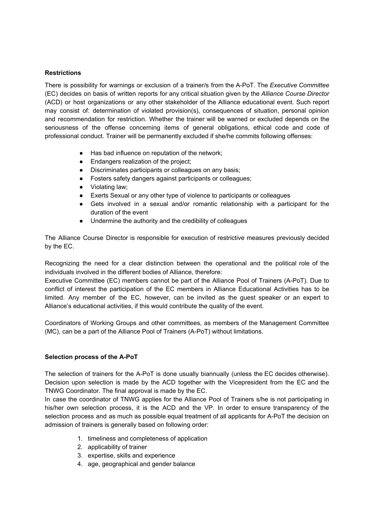#### **Restrictions**

There is possibility for warnings or exclusion of a trainer/s from the A-PoT. The *Executive Committee* (EC) decides on basis of written reports for any critical situation given by the *Alliance Course Director* (ACD) or host organizations or any other stakeholder of the Alliance educational event. Such report may consist of: determination of violated provision(s), consequences of situation, personal opinion and recommendation for restriction. Whether the trainer will be warned or excluded depends on the seriousness of the offense concerning items of general obligations, ethical code and code of professional conduct. Trainer will be permanently excluded if she/he commits following offenses:

- Has bad influence on reputation of the network;
- Endangers realization of the project;
- Discriminates participants or colleagues on any basis;
- Fosters safety dangers against participants or colleagues;
- Violating law;
- Exerts Sexual or any other type of violence to participants or colleagues
- Gets involved in a sexual and/or romantic relationship with a participant for the duration of the event
- Undermine the authority and the credibility of colleagues

The Alliance Course Director is responsible for execution of restrictive measures previously decided by the EC.

Recognizing the need for a clear distinction between the operational and the political role of the individuals involved in the different bodies of Alliance, therefore:

Executive Committee (EC) members cannot be part of the Alliance Pool of Trainers (A-PoT). Due to conflict of interest the participation of the EC members in Alliance Educational Activities has to be limited. Any member of the EC, however, can be invited as the guest speaker or an expert to Alliance's educational activities, if this would contribute the quality of the event.

Coordinators of Working Groups and other committees, as members of the Management Committee (MC), can be a part of the Alliance Pool of Trainers (A-PoT) without limitations.

#### **Selection process of the A-PoT**

The selection of trainers for the A-PoT is done usually biannually (unless the EC decides otherwise). Decision upon selection is made by the ACD together with the Vicepresident from the EC and the TNWG Coordinator. The final approval is made by the EC.

In case the coordinator of TNWG applies for the Alliance Pool of Trainers s/he is not participating in his/her own selection process, it is the ACD and the VP. In order to ensure transparency of the selection process and as much as possible equal treatment of all applicants for A-PoT the decision on admission of trainers is generally based on following order:

- 1. timeliness and completeness of application
- 2. applicability of trainer
- 3. expertise, skills and experience
- 4. age, geographical and gender balance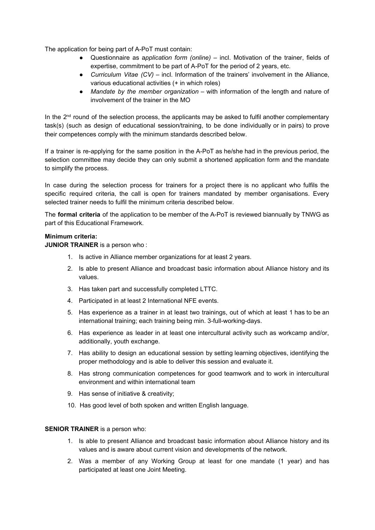The application for being part of A-PoT must contain:

- Questionnaire as a*pplication form (online)* incl. Motivation of the trainer, fields of expertise, commitment to be part of A-PoT for the period of 2 years, etc.
- *Curriculum Vitae (CV) –* incl. Information of the trainers' involvement in the Alliance, various educational activities (+ in which roles)
- *Mandate by the member organization –* with information of the length and nature of involvement of the trainer in the MO

In the  $2<sup>nd</sup>$  round of the selection process, the applicants may be asked to fulfil another complementary task(s) (such as design of educational session/training, to be done individually or in pairs) to prove their competences comply with the minimum standards described below.

If a trainer is re-applying for the same position in the A-PoT as he/she had in the previous period, the selection committee may decide they can only submit a shortened application form and the mandate to simplify the process.

In case during the selection process for trainers for a project there is no applicant who fulfils the specific required criteria, the call is open for trainers mandated by member organisations. Every selected trainer needs to fulfil the minimum criteria described below.

The **formal criteria** of the application to be member of the A-PoT is reviewed biannually by TNWG as part of this Educational Framework.

#### **Minimum criteria:**

**JUNIOR TRAINER** is a person who :

- 1. Is active in Alliance member organizations for at least 2 years.
- 2. Is able to present Alliance and broadcast basic information about Alliance history and its values.
- 3. Has taken part and successfully completed LTTC.
- 4. Participated in at least 2 International NFE events.
- 5. Has experience as a trainer in at least two trainings, out of which at least 1 has to be an international training; each training being min. 3-full-working-days.
- 6. Has experience as leader in at least one intercultural activity such as workcamp and/or, additionally, youth exchange.
- 7. Has ability to design an educational session by setting learning objectives, identifying the proper methodology and is able to deliver this session and evaluate it.
- 8. Has strong communication competences for good teamwork and to work in intercultural environment and within international team
- 9. Has sense of initiative & creativity;
- 10. Has good level of both spoken and written English language.

#### **SENIOR TRAINER** is a person who:

- 1. Is able to present Alliance and broadcast basic information about Alliance history and its values and is aware about current vision and developments of the network.
- 2. Was a member of any Working Group at least for one mandate (1 year) and has participated at least one Joint Meeting.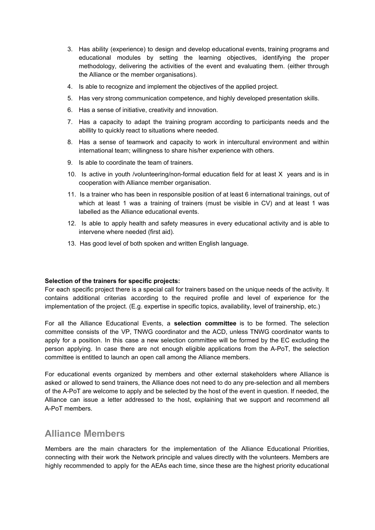- 3. Has ability (experience) to design and develop educational events, training programs and educational modules by setting the learning objectives, identifying the proper methodology, delivering the activities of the event and evaluating them. (either through the Alliance or the member organisations).
- 4. Is able to recognize and implement the objectives of the applied project.
- 5. Has very strong communication competence, and highly developed presentation skills.
- 6. Has a sense of initiative, creativity and innovation.
- 7. Has a capacity to adapt the training program according to participants needs and the abillity to quickly react to situations where needed.
- 8. Has a sense of teamwork and capacity to work in intercultural environment and within international team; willingness to share his/her experience with others.
- 9. Is able to coordinate the team of trainers.
- 10. Is active in youth /volunteering/non-formal education field for at least X years and is in cooperation with Alliance member organisation.
- 11. Is a trainer who has been in responsible position of at least 6 international trainings, out of which at least 1 was a training of trainers (must be visible in CV) and at least 1 was labelled as the Alliance educational events.
- 12. Is able to apply health and safety measures in every educational activity and is able to intervene where needed (first aid).
- 13. Has good level of both spoken and written English language.

#### **Selection of the trainers for specific projects:**

For each specific project there is a special call for trainers based on the unique needs of the activity. It contains additional criterias according to the required profile and level of experience for the implementation of the project. (E.g. expertise in specific topics, availability, level of trainership, etc.)

For all the Alliance Educational Events, a **selection committee** is to be formed. The selection committee consists of the VP, TNWG coordinator and the ACD, unless TNWG coordinator wants to apply for a position. In this case a new selection committee will be formed by the EC excluding the person applying. In case there are not enough eligible applications from the A-PoT, the selection committee is entitled to launch an open call among the Alliance members.

For educational events organized by members and other external stakeholders where Alliance is asked or allowed to send trainers, the Alliance does not need to do any pre-selection and all members of the A-PoT are welcome to apply and be selected by the host of the event in question. If needed, the Alliance can issue a letter addressed to the host, explaining that we support and recommend all A-PoT members.

#### **Alliance Members**

Members are the main characters for the implementation of the Alliance Educational Priorities, connecting with their work the Network principle and values directly with the volunteers. Members are highly recommended to apply for the AEAs each time, since these are the highest priority educational